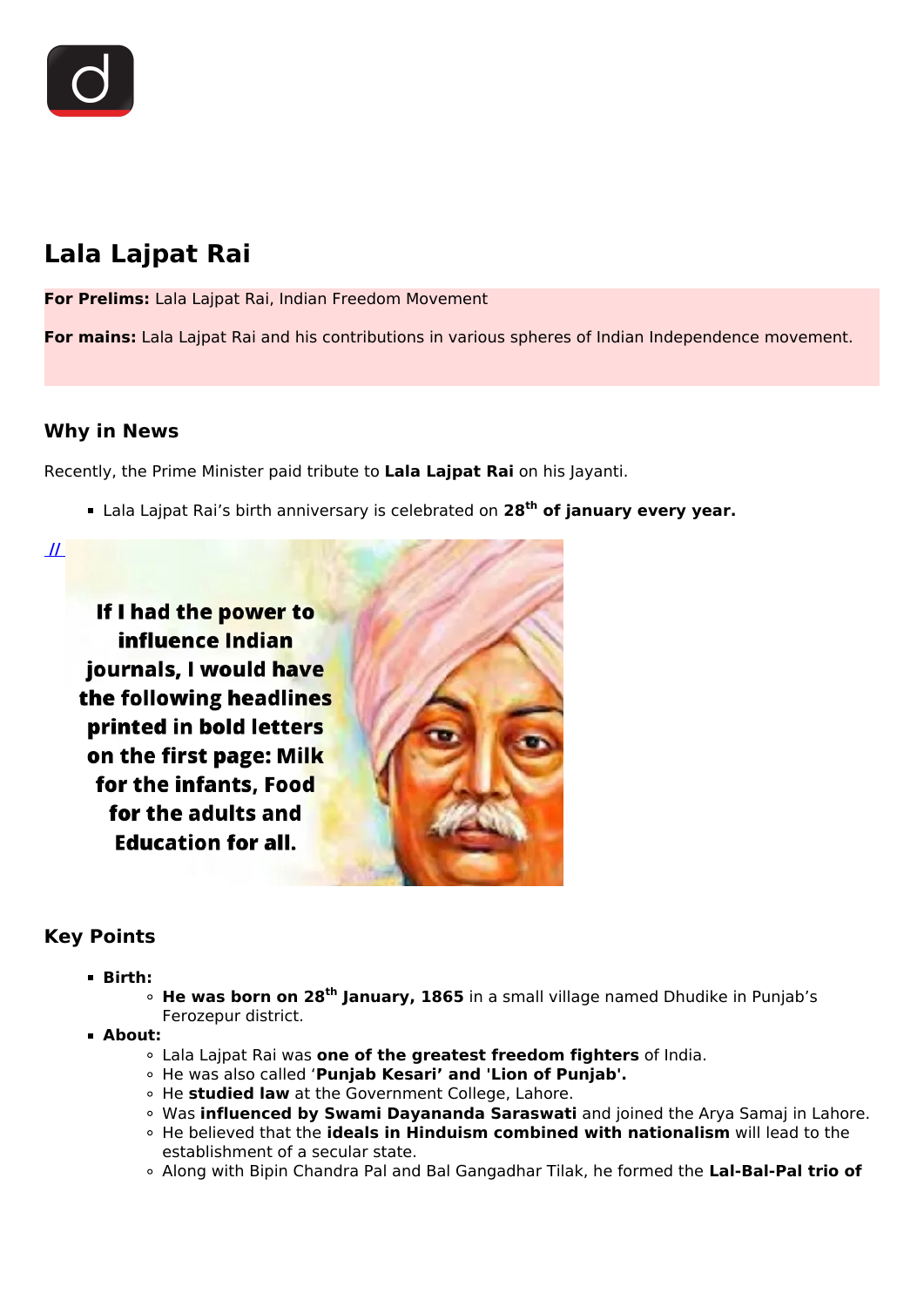

# **Lala Lajpat Rai**

**For Prelims:** Lala Lajpat Rai, Indian Freedom Movement

**For mains:** Lala Lajpat Rai and his contributions in various spheres of Indian Independence movement.

## **Why in News**

Recently, the Prime Minister paid tribute to **Lala Lajpat Rai** on his Jayanti.

Lala Lajpat Rai's birth anniversary is celebrated on **28th of january every year.**

 **[//](https://www.drishtiias.com/images/uploads/1643443865_Lala_Lajpat_Rai_Drishti_IAS_English.png)** 

If I had the power to influence Indian journals, I would have the following headlines printed in bold letters on the first page: Milk for the infants. Food for the adults and **Education for all.** 



# **Key Points**

**Birth:**

**He was born on 28th January, 1865** in a small village named Dhudike in Punjab's Ferozepur district.

- **About:**
	- Lala Lajpat Rai was **one of the greatest freedom fighters** of India.
	- He was also called '**Punjab Kesari' and 'Lion of Punjab'.**
	- He **studied law** at the Government College, Lahore.
	- Was **influenced by Swami Dayananda Saraswati** and joined the Arya Samaj in Lahore.
	- He believed that the **ideals in Hinduism combined with nationalism** will lead to the establishment of a secular state.
	- Along with Bipin Chandra Pal and Bal Gangadhar Tilak, he formed the **Lal-Bal-Pal trio of**